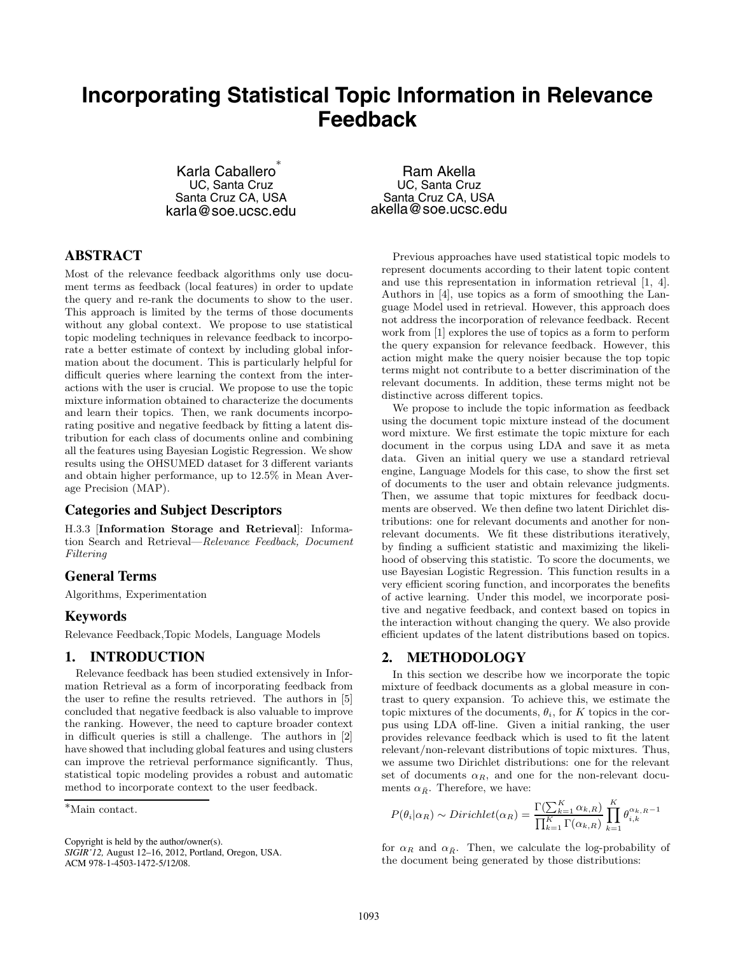# **Incorporating Statistical Topic Information in Relevance Feedback**

Karla Caballero UC, Santa Cruz Santa Cruz CA, USA karla@soe.ucsc.edu

# **ABSTRACT**

Most of the relevance feedback algorithms only use document terms as feedback (local features) in order to update the query and re-rank the documents to show to the user. This approach is limited by the terms of those documents without any global context. We propose to use statistical topic modeling techniques in relevance feedback to incorporate a better estimate of context by including global information about the document. This is particularly helpful for difficult queries where learning the context from the interactions with the user is crucial. We propose to use the topic mixture information obtained to characterize the documents and learn their topics. Then, we rank documents incorporating positive and negative feedback by fitting a latent distribution for each class of documents online and combining all the features using Bayesian Logistic Regression. We show results using the OHSUMED dataset for 3 different variants and obtain higher performance, up to 12.5% in Mean Average Precision (MAP).

#### **Categories and Subject Descriptors**

H.3.3 [**Information Storage and Retrieval**]: Information Search and Retrieval—*Relevance Feedback, Document Filtering*

#### **General Terms**

Algorithms, Experimentation

#### **Keywords**

Relevance Feedback,Topic Models, Language Models

# **1. INTRODUCTION**

Relevance feedback has been studied extensively in Information Retrieval as a form of incorporating feedback from the user to refine the results retrieved. The authors in [5] concluded that negative feedback is also valuable to improve the ranking. However, the need to capture broader context in difficult queries is still a challenge. The authors in [2] have showed that including global features and using clusters can improve the retrieval performance significantly. Thus, statistical topic modeling provides a robust and automatic method to incorporate context to the user feedback.

Copyright is held by the author/owner(s).

*SIGIR'12,* August 12–16, 2012, Portland, Oregon, USA. ACM 978-1-4503-1472-5/12/08.

Ram Akella UC, Santa Cruz Santa Cruz CA, USA akella@soe.ucsc.edu

Previous approaches have used statistical topic models to represent documents according to their latent topic content and use this representation in information retrieval [1, 4]. Authors in [4], use topics as a form of smoothing the Language Model used in retrieval. However, this approach does not address the incorporation of relevance feedback. Recent work from [1] explores the use of topics as a form to perform the query expansion for relevance feedback. However, this action might make the query noisier because the top topic terms might not contribute to a better discrimination of the relevant documents. In addition, these terms might not be distinctive across different topics.

We propose to include the topic information as feedback using the document topic mixture instead of the document word mixture. We first estimate the topic mixture for each document in the corpus using LDA and save it as meta data. Given an initial query we use a standard retrieval engine, Language Models for this case, to show the first set of documents to the user and obtain relevance judgments. Then, we assume that topic mixtures for feedback documents are observed. We then define two latent Dirichlet distributions: one for relevant documents and another for nonrelevant documents. We fit these distributions iteratively, by finding a sufficient statistic and maximizing the likelihood of observing this statistic. To score the documents, we use Bayesian Logistic Regression. This function results in a very efficient scoring function, and incorporates the benefits of active learning. Under this model, we incorporate positive and negative feedback, and context based on topics in the interaction without changing the query. We also provide efficient updates of the latent distributions based on topics.

# **2. METHODOLOGY**

In this section we describe how we incorporate the topic mixture of feedback documents as a global measure in contrast to query expansion. To achieve this, we estimate the topic mixtures of the documents,  $\theta_i$ , for K topics in the corpus using LDA off-line. Given a initial ranking, the user provides relevance feedback which is used to fit the latent relevant/non-relevant distributions of topic mixtures. Thus, we assume two Dirichlet distributions: one for the relevant set of documents  $\alpha_R$ , and one for the non-relevant documents  $\alpha_{\bar{R}}$ . Therefore, we have:

$$
P(\theta_i|\alpha_R) \sim Dirichlet(\alpha_R) = \frac{\Gamma(\sum_{k=1}^K \alpha_{k,R})}{\prod_{k=1}^K \Gamma(\alpha_{k,R})} \prod_{k=1}^K \theta_{i,k}^{\alpha_{k,R}-1}
$$

for  $\alpha_R$  and  $\alpha_{\bar{R}}$ . Then, we calculate the log-probability of the document being generated by those distributions:

<sup>∗</sup>Main contact.